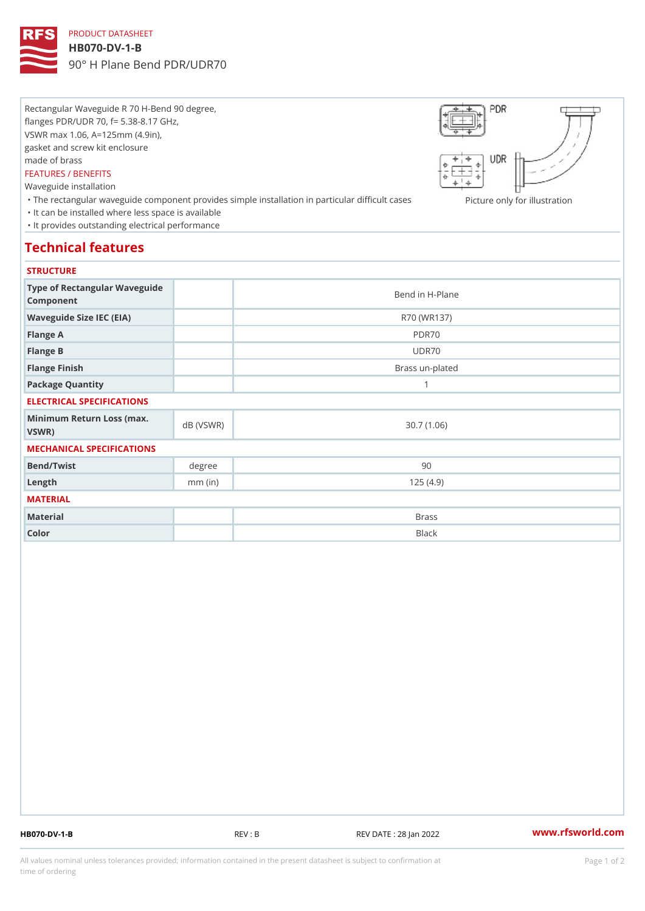# PRODUCT DATASHEET

### HB070-DV-1-B

90° H Plane Bend PDR/UDR70

Rectangular Waveguide R 70 H-Bend 90 degree, flanges PDR/UDR 70, f= 5.38-8.17 GHz, VSWR max 1.06, A=125mm (4.9in), gasket and screw kit enclosure made of brass FEATURES / BENEFITS Waveguide installation

"The rectangular waveguide component provides simple installation in pactionelannbyiffocuilhursents as ion "It can be installed where less space is available "It provides outstanding electrical performance

### Technical features

### **STRUCTURE**

| Type of Rectangular Waveguide<br>Component     |           | Bend in H-Plane |
|------------------------------------------------|-----------|-----------------|
| Waveguide Size IEC (EIA)                       |           | R70 (WR137)     |
| Flange A                                       |           | PDR70           |
| Flange B                                       |           | UDR70           |
| Flange Finish                                  |           | Brass un-plated |
| Package Quantity                               |           | 1               |
| ELECTRICAL SPECIFICATIONS                      |           |                 |
| Minimum Return Loss (nax (VSWR)<br>$V$ S W R ) |           | 30.7(1.06)      |
| MECHANICAL SPECIFICATIONS                      |           |                 |
| Bend/Twist                                     | degree    | 90              |
| $L$ ength                                      | $mm$ (in) | 125(4.9)        |
| MATERIAL                                       |           |                 |
| Material                                       |           | <b>Brass</b>    |
| Color                                          |           | Black           |

HB070-DV-1-B REV : B REV DATE : 28 Jan 2022 [www.](https://www.rfsworld.com)rfsworld.com